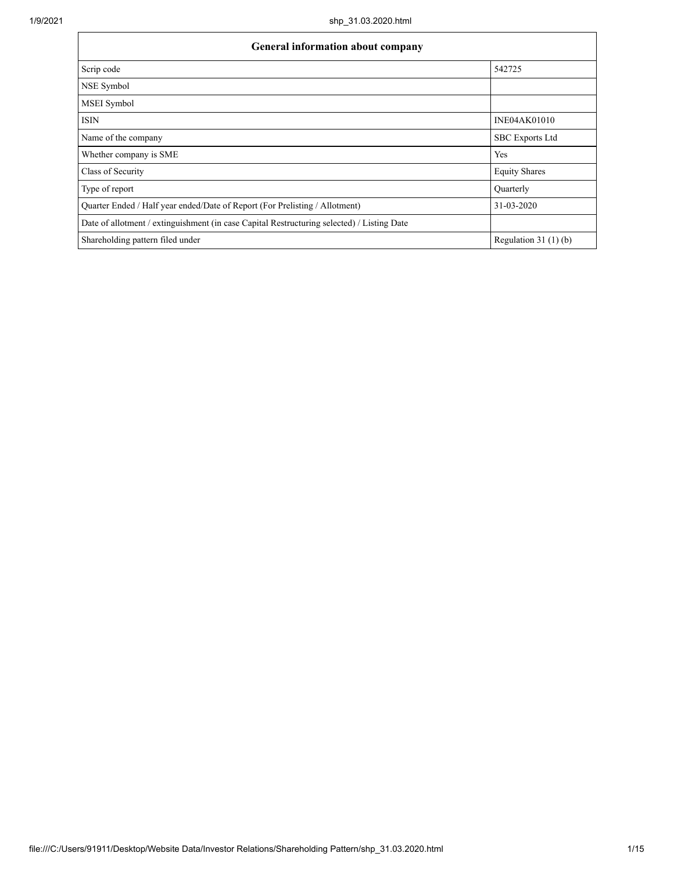| <b>General information about company</b>                                                   |                        |  |  |  |  |  |
|--------------------------------------------------------------------------------------------|------------------------|--|--|--|--|--|
| Scrip code                                                                                 | 542725                 |  |  |  |  |  |
| NSE Symbol                                                                                 |                        |  |  |  |  |  |
| MSEI Symbol                                                                                |                        |  |  |  |  |  |
| <b>ISIN</b>                                                                                | <b>INE04AK01010</b>    |  |  |  |  |  |
| Name of the company                                                                        | <b>SBC</b> Exports Ltd |  |  |  |  |  |
| Whether company is SME                                                                     | Yes                    |  |  |  |  |  |
| Class of Security                                                                          | <b>Equity Shares</b>   |  |  |  |  |  |
| Type of report                                                                             | Quarterly              |  |  |  |  |  |
| Quarter Ended / Half year ended/Date of Report (For Prelisting / Allotment)                | 31-03-2020             |  |  |  |  |  |
| Date of allotment / extinguishment (in case Capital Restructuring selected) / Listing Date |                        |  |  |  |  |  |
| Shareholding pattern filed under                                                           | Regulation 31 $(1)(b)$ |  |  |  |  |  |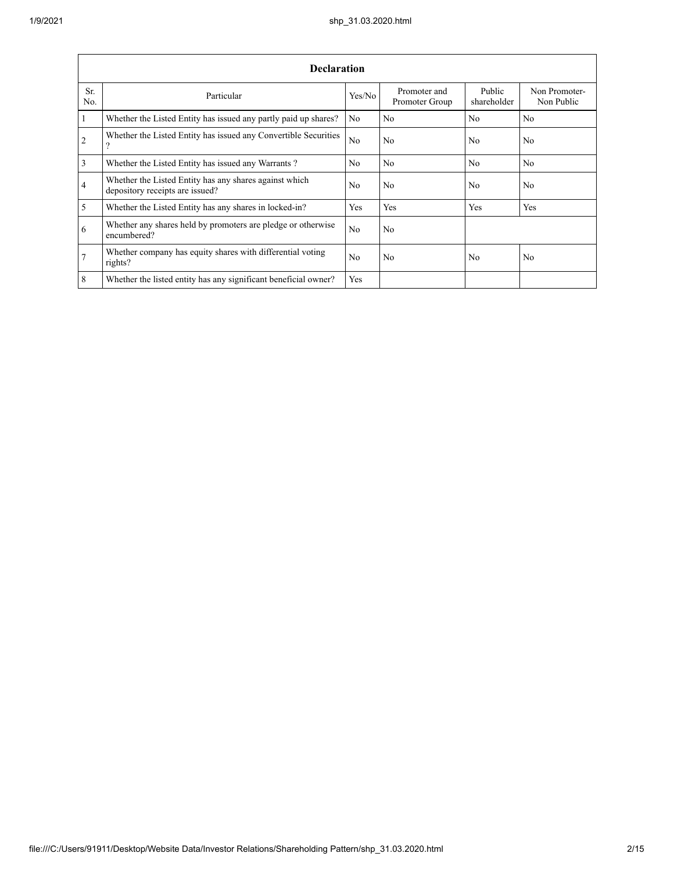|                 | <b>Declaration</b>                                                                        |                |                                |                       |                             |  |  |  |  |  |
|-----------------|-------------------------------------------------------------------------------------------|----------------|--------------------------------|-----------------------|-----------------------------|--|--|--|--|--|
| Sr.<br>No.      | Particular                                                                                | Yes/No         | Promoter and<br>Promoter Group | Public<br>shareholder | Non Promoter-<br>Non Public |  |  |  |  |  |
| $\mathbf{1}$    | Whether the Listed Entity has issued any partly paid up shares?                           | No             | No                             | No                    | N <sub>o</sub>              |  |  |  |  |  |
| 2               | Whether the Listed Entity has issued any Convertible Securities<br>?                      | N <sub>0</sub> | No.                            | N <sub>0</sub>        | No                          |  |  |  |  |  |
| $\overline{3}$  | Whether the Listed Entity has issued any Warrants?                                        | N <sub>0</sub> | No.                            | No                    | N <sub>o</sub>              |  |  |  |  |  |
| $\overline{4}$  | Whether the Listed Entity has any shares against which<br>depository receipts are issued? | No             | No                             | No                    | No                          |  |  |  |  |  |
| $\overline{5}$  | Whether the Listed Entity has any shares in locked-in?                                    | Yes            | Yes                            | Yes                   | Yes                         |  |  |  |  |  |
| 6               | Whether any shares held by promoters are pledge or otherwise<br>encumbered?               | No             | No                             |                       |                             |  |  |  |  |  |
| $7\phantom{.0}$ | Whether company has equity shares with differential voting<br>rights?                     | N <sub>0</sub> | No                             | No                    | No                          |  |  |  |  |  |
| 8               | Whether the listed entity has any significant beneficial owner?                           | Yes            |                                |                       |                             |  |  |  |  |  |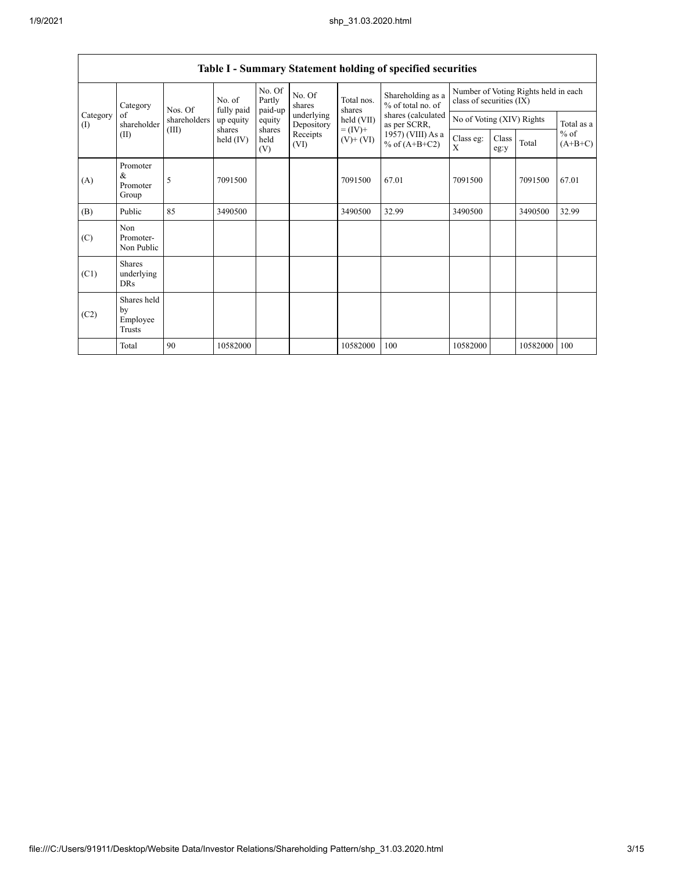| Category        |                                                                                                                                      | No. of<br>fully paid<br>Nos. Of |                | No. Of<br>Partly<br>paid-up | No. Of<br>shares         | Total nos.<br>shares | Shareholding as a<br>% of total no. of | Number of Voting Rights held in each<br>class of securities (IX) |  |          |            |
|-----------------|--------------------------------------------------------------------------------------------------------------------------------------|---------------------------------|----------------|-----------------------------|--------------------------|----------------------|----------------------------------------|------------------------------------------------------------------|--|----------|------------|
| Category<br>(I) | of<br>shareholder                                                                                                                    | shareholders                    | up equity      | equity                      | underlying<br>Depository | held (VII)           | shares (calculated<br>as per SCRR,     | No of Voting (XIV) Rights                                        |  |          | Total as a |
|                 | $= (IV) +$<br>shares<br>shares<br>(III)<br>Receipts<br>(II)<br>held (IV)<br>held<br>$(V)$ + $(VI)$<br>% of $(A+B+C2)$<br>(VI)<br>(V) | 1957) (VIII) As a               | Class eg:<br>X | Class<br>eg:y               | Total                    | $%$ of<br>$(A+B+C)$  |                                        |                                                                  |  |          |            |
| (A)             | Promoter<br>&<br>Promoter<br>Group                                                                                                   | 5                               | 7091500        |                             |                          | 7091500              | 67.01                                  | 7091500                                                          |  | 7091500  | 67.01      |
| (B)             | Public                                                                                                                               | 85                              | 3490500        |                             |                          | 3490500              | 32.99                                  | 3490500                                                          |  | 3490500  | 32.99      |
| (C)             | Non<br>Promoter-<br>Non Public                                                                                                       |                                 |                |                             |                          |                      |                                        |                                                                  |  |          |            |
| (C1)            | <b>Shares</b><br>underlying<br>DRs                                                                                                   |                                 |                |                             |                          |                      |                                        |                                                                  |  |          |            |
| (C2)            | Shares held<br>by<br>Employee<br>Trusts                                                                                              |                                 |                |                             |                          |                      |                                        |                                                                  |  |          |            |
|                 | Total                                                                                                                                | 90                              | 10582000       |                             |                          | 10582000             | 100                                    | 10582000                                                         |  | 10582000 | 100        |

## **Table I - Summary Statement holding of specified securities**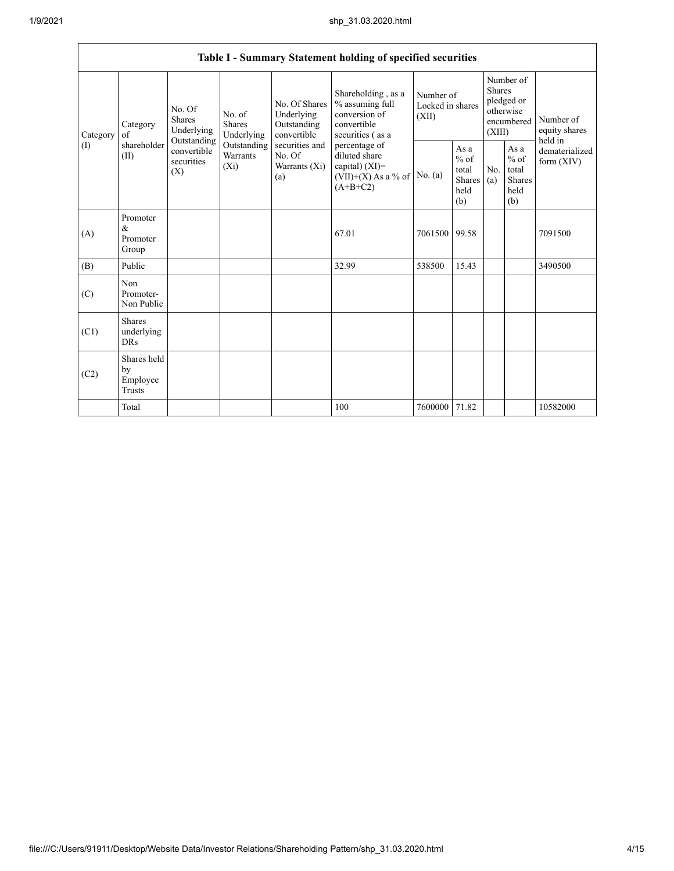| Table I - Summary Statement holding of specified securities |                                           |                                                                         |                                    |                                                           |                                                                                           |                                        |                                                  |                                                                        |                                                         |                                       |  |
|-------------------------------------------------------------|-------------------------------------------|-------------------------------------------------------------------------|------------------------------------|-----------------------------------------------------------|-------------------------------------------------------------------------------------------|----------------------------------------|--------------------------------------------------|------------------------------------------------------------------------|---------------------------------------------------------|---------------------------------------|--|
|                                                             |                                           |                                                                         |                                    |                                                           |                                                                                           |                                        |                                                  |                                                                        |                                                         |                                       |  |
| Category<br>Category                                        | of                                        | No. Of<br>No. of<br><b>Shares</b><br>Shares<br>Underlying<br>Underlying |                                    | No. Of Shares<br>Underlying<br>Outstanding<br>convertible | Shareholding, as a<br>% assuming full<br>conversion of<br>convertible<br>securities (as a | Number of<br>Locked in shares<br>(XII) |                                                  | Number of<br>Shares<br>pledged or<br>otherwise<br>encumbered<br>(XIII) |                                                         | Number of<br>equity shares<br>held in |  |
| (I)                                                         | shareholder<br>(II)                       | Outstanding<br>convertible<br>securities<br>(X)                         | Outstanding<br>Warrants<br>$(X_i)$ | securities and<br>No. Of<br>Warrants (Xi)<br>(a)          | percentage of<br>diluted share<br>capital) (XI)=<br>$(VII)+(X)$ As a % of<br>$(A+B+C2)$   | No. (a)                                | As a<br>$%$ of<br>total<br>Shares<br>held<br>(b) | No.<br>(a)                                                             | As a<br>$%$ of<br>total<br><b>Shares</b><br>held<br>(b) | dematerialized<br>form (XIV)          |  |
| (A)                                                         | Promoter<br>&<br>Promoter<br>Group        |                                                                         |                                    |                                                           | 67.01                                                                                     | 7061500                                | 99.58                                            |                                                                        |                                                         | 7091500                               |  |
| (B)                                                         | Public                                    |                                                                         |                                    |                                                           | 32.99                                                                                     | 538500                                 | 15.43                                            |                                                                        |                                                         | 3490500                               |  |
| (C)                                                         | Non<br>Promoter-<br>Non Public            |                                                                         |                                    |                                                           |                                                                                           |                                        |                                                  |                                                                        |                                                         |                                       |  |
| (C1)                                                        | <b>Shares</b><br>underlying<br><b>DRs</b> |                                                                         |                                    |                                                           |                                                                                           |                                        |                                                  |                                                                        |                                                         |                                       |  |
| (C2)                                                        | Shares held<br>by<br>Employee<br>Trusts   |                                                                         |                                    |                                                           |                                                                                           |                                        |                                                  |                                                                        |                                                         |                                       |  |
|                                                             | Total                                     |                                                                         |                                    |                                                           | 100                                                                                       | 7600000                                | 71.82                                            |                                                                        |                                                         | 10582000                              |  |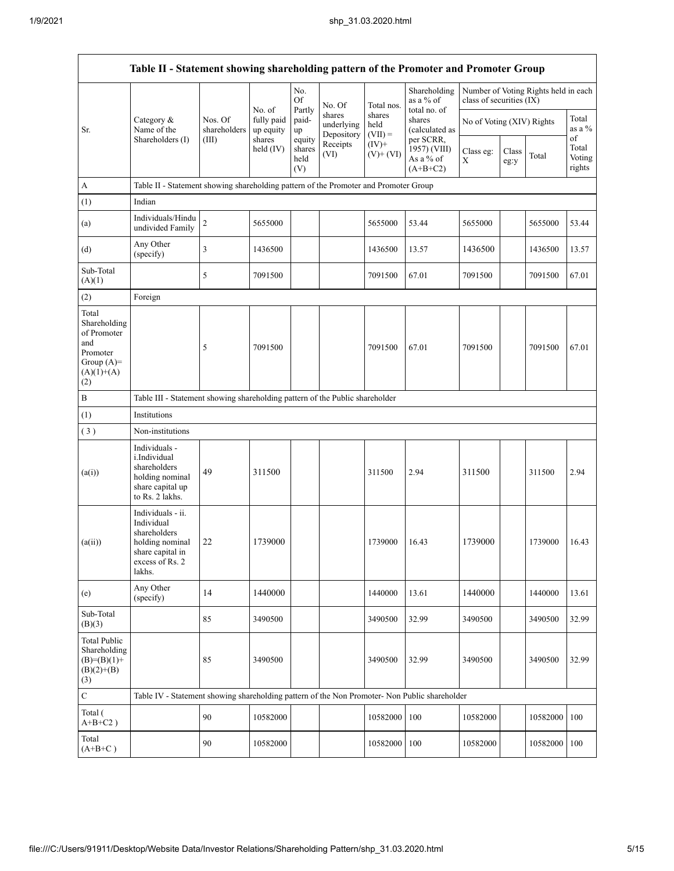|                                                                                                | Table II - Statement showing shareholding pattern of the Promoter and Promoter Group                                |                                                                              |                                   |                                 |                                    |                                                                                |                                          |                           |               |                                      |                                 |  |
|------------------------------------------------------------------------------------------------|---------------------------------------------------------------------------------------------------------------------|------------------------------------------------------------------------------|-----------------------------------|---------------------------------|------------------------------------|--------------------------------------------------------------------------------|------------------------------------------|---------------------------|---------------|--------------------------------------|---------------------------------|--|
|                                                                                                |                                                                                                                     |                                                                              |                                   | No.<br>Of                       | No. Of                             | Total nos.                                                                     | Shareholding<br>as a % of                | class of securities (IX)  |               | Number of Voting Rights held in each |                                 |  |
| Sr.                                                                                            | Category &<br>Name of the                                                                                           | Nos. Of<br>shareholders                                                      | No. of<br>fully paid<br>up equity | Partly<br>paid-<br>up           | shares<br>underlying<br>Depository | shares<br>held<br>$(VII) =$                                                    | total no. of<br>shares<br>(calculated as | No of Voting (XIV) Rights |               |                                      | Total<br>as a %                 |  |
|                                                                                                | Shareholders (I)                                                                                                    | (III)                                                                        | shares<br>held $(IV)$             | equity<br>shares<br>held<br>(V) | Receipts<br>(VI)                   | per SCRR,<br>$(IV)$ +<br>1957) (VIII)<br>$(V)+(VI)$<br>As a % of<br>$(A+B+C2)$ |                                          | Class eg:<br>Χ            | Class<br>eg:y | Total                                | of<br>Total<br>Voting<br>rights |  |
| $\boldsymbol{A}$                                                                               | Table II - Statement showing shareholding pattern of the Promoter and Promoter Group                                |                                                                              |                                   |                                 |                                    |                                                                                |                                          |                           |               |                                      |                                 |  |
| (1)                                                                                            | Indian                                                                                                              |                                                                              |                                   |                                 |                                    |                                                                                |                                          |                           |               |                                      |                                 |  |
| (a)                                                                                            | Individuals/Hindu<br>undivided Family                                                                               | $\overline{c}$                                                               | 5655000                           |                                 |                                    | 5655000                                                                        | 53.44                                    | 5655000                   |               | 5655000                              | 53.44                           |  |
| (d)                                                                                            | Any Other<br>(specify)                                                                                              | 3                                                                            | 1436500                           |                                 |                                    | 1436500                                                                        | 13.57                                    | 1436500                   |               | 1436500                              | 13.57                           |  |
| Sub-Total<br>(A)(1)                                                                            |                                                                                                                     | 5                                                                            | 7091500                           |                                 |                                    | 7091500                                                                        | 67.01                                    | 7091500                   |               | 7091500                              | 67.01                           |  |
| (2)                                                                                            | Foreign                                                                                                             |                                                                              |                                   |                                 |                                    |                                                                                |                                          |                           |               |                                      |                                 |  |
| Total<br>Shareholding<br>of Promoter<br>and<br>Promoter<br>Group $(A)=$<br>$(A)(1)+(A)$<br>(2) |                                                                                                                     | 5                                                                            | 7091500                           |                                 |                                    | 7091500                                                                        | 67.01                                    | 7091500                   |               | 7091500                              | 67.01                           |  |
| $\, {\bf B}$                                                                                   |                                                                                                                     | Table III - Statement showing shareholding pattern of the Public shareholder |                                   |                                 |                                    |                                                                                |                                          |                           |               |                                      |                                 |  |
| (1)                                                                                            | Institutions                                                                                                        |                                                                              |                                   |                                 |                                    |                                                                                |                                          |                           |               |                                      |                                 |  |
| (3)                                                                                            | Non-institutions                                                                                                    |                                                                              |                                   |                                 |                                    |                                                                                |                                          |                           |               |                                      |                                 |  |
| (a(i))                                                                                         | Individuals -<br>i.Individual<br>shareholders<br>holding nominal<br>share capital up<br>to Rs. 2 lakhs.             | 49                                                                           | 311500                            |                                 |                                    | 311500                                                                         | 2.94                                     | 311500                    |               | 311500                               | 2.94                            |  |
| (a(ii))                                                                                        | Individuals - ii.<br>Individual<br>shareholders<br>holding nominal<br>share capital in<br>excess of Rs. 2<br>lakhs. | 22                                                                           | 1739000                           |                                 |                                    | 1739000                                                                        | 16.43                                    | 1739000                   |               | 1739000                              | 16.43                           |  |
| (e)                                                                                            | Any Other<br>(specify)                                                                                              | 14                                                                           | 1440000                           |                                 |                                    | 1440000                                                                        | 13.61                                    | 1440000                   |               | 1440000                              | 13.61                           |  |
| Sub-Total<br>(B)(3)                                                                            |                                                                                                                     | 85                                                                           | 3490500                           |                                 |                                    | 3490500                                                                        | 32.99                                    | 3490500                   |               | 3490500                              | 32.99                           |  |
| <b>Total Public</b><br>Shareholding<br>$(B)=(B)(1)+$<br>$(B)(2)+(B)$<br>(3)                    |                                                                                                                     | 85                                                                           | 3490500                           |                                 |                                    | 3490500                                                                        | 32.99                                    | 3490500                   |               | 3490500                              | 32.99                           |  |
| $\mathbf C$                                                                                    | Table IV - Statement showing shareholding pattern of the Non Promoter- Non Public shareholder                       |                                                                              |                                   |                                 |                                    |                                                                                |                                          |                           |               |                                      |                                 |  |
| Total (<br>$A+B+C2$ )                                                                          |                                                                                                                     | 90                                                                           | 10582000                          |                                 |                                    | 10582000                                                                       | 100                                      | 10582000                  |               | 10582000                             | 100                             |  |
| Total<br>$(A+B+C)$                                                                             |                                                                                                                     | 90                                                                           | 10582000                          |                                 |                                    | 10582000                                                                       | 100                                      | 10582000                  |               | 10582000                             | 100                             |  |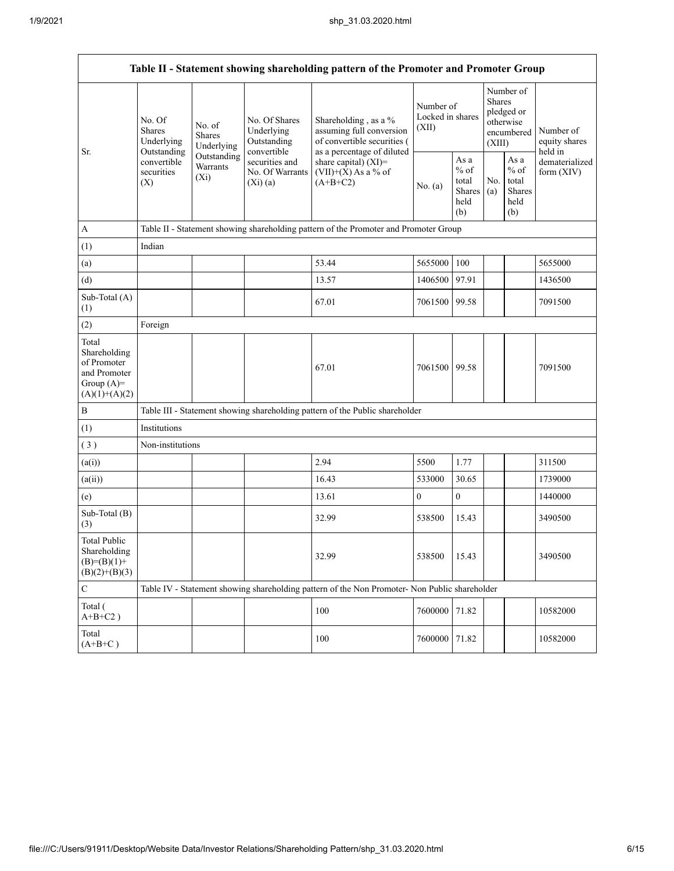|                                                                                         | Table II - Statement showing shareholding pattern of the Promoter and Promoter Group |                                                                                    |                                                                                                               |                                                                                               |                  |                                                                               |            |                                                            |                              |
|-----------------------------------------------------------------------------------------|--------------------------------------------------------------------------------------|------------------------------------------------------------------------------------|---------------------------------------------------------------------------------------------------------------|-----------------------------------------------------------------------------------------------|------------------|-------------------------------------------------------------------------------|------------|------------------------------------------------------------|------------------------------|
| Sr.<br>(X)                                                                              | No. Of<br>No. of<br>Shares<br>Shares<br>Underlying<br>Underlying<br>Outstanding      | No. Of Shares<br>Underlying<br>Outstanding<br>convertible                          | Shareholding, as a %<br>assuming full conversion<br>of convertible securities (<br>as a percentage of diluted | Number of<br>Locked in shares<br>(XII)                                                        |                  | Number of<br><b>Shares</b><br>pledged or<br>otherwise<br>encumbered<br>(XIII) |            | Number of<br>equity shares<br>held in                      |                              |
|                                                                                         | convertible<br>securities                                                            | Outstanding<br>securities and<br>Warrants<br>No. Of Warrants<br>$(X_i)$<br>(Xi)(a) |                                                                                                               | share capital) $(XI)$ =<br>$(VII)+(X)$ As a % of<br>$(A+B+C2)$                                | No. $(a)$        | As a<br>$%$ of<br>total<br>Shares<br>held<br>(b)                              | No.<br>(a) | As $\mathbf a$<br>$%$ of<br>total<br>Shares<br>held<br>(b) | dematerialized<br>form (XIV) |
| A                                                                                       |                                                                                      |                                                                                    |                                                                                                               | Table II - Statement showing shareholding pattern of the Promoter and Promoter Group          |                  |                                                                               |            |                                                            |                              |
| (1)                                                                                     | Indian                                                                               |                                                                                    |                                                                                                               |                                                                                               |                  |                                                                               |            |                                                            |                              |
| (a)                                                                                     |                                                                                      |                                                                                    |                                                                                                               | 53.44                                                                                         | 5655000          | 100                                                                           |            |                                                            | 5655000                      |
| (d)                                                                                     |                                                                                      |                                                                                    |                                                                                                               | 13.57                                                                                         | 1406500          | 97.91                                                                         |            |                                                            | 1436500                      |
| Sub-Total (A)<br>(1)                                                                    |                                                                                      |                                                                                    |                                                                                                               | 67.01                                                                                         | 7061500          | 99.58                                                                         |            |                                                            | 7091500                      |
| (2)                                                                                     | Foreign                                                                              |                                                                                    |                                                                                                               |                                                                                               |                  |                                                                               |            |                                                            |                              |
| Total<br>Shareholding<br>of Promoter<br>and Promoter<br>Group $(A)=$<br>$(A)(1)+(A)(2)$ |                                                                                      |                                                                                    |                                                                                                               | 67.01                                                                                         | 7061500 99.58    |                                                                               |            |                                                            | 7091500                      |
| $\, {\bf B}$                                                                            |                                                                                      |                                                                                    |                                                                                                               | Table III - Statement showing shareholding pattern of the Public shareholder                  |                  |                                                                               |            |                                                            |                              |
| (1)                                                                                     | Institutions                                                                         |                                                                                    |                                                                                                               |                                                                                               |                  |                                                                               |            |                                                            |                              |
| (3)                                                                                     | Non-institutions                                                                     |                                                                                    |                                                                                                               |                                                                                               |                  |                                                                               |            |                                                            |                              |
| (a(i))                                                                                  |                                                                                      |                                                                                    |                                                                                                               | 2.94                                                                                          | 5500             | 1.77                                                                          |            |                                                            | 311500                       |
| (a(ii))                                                                                 |                                                                                      |                                                                                    |                                                                                                               | 16.43                                                                                         | 533000           | 30.65                                                                         |            |                                                            | 1739000                      |
| (e)                                                                                     |                                                                                      |                                                                                    |                                                                                                               | 13.61                                                                                         | $\boldsymbol{0}$ | $\boldsymbol{0}$                                                              |            |                                                            | 1440000                      |
| Sub-Total (B)<br>(3)                                                                    |                                                                                      |                                                                                    |                                                                                                               | 32.99                                                                                         | 538500           | 15.43                                                                         |            |                                                            | 3490500                      |
| <b>Total Public</b><br>Shareholding<br>$(B)=(B)(1)+$<br>$(B)(2)+(B)(3)$                 |                                                                                      |                                                                                    |                                                                                                               | 32.99                                                                                         | 538500           | 15.43                                                                         |            |                                                            | 3490500                      |
| $\mathbf C$                                                                             |                                                                                      |                                                                                    |                                                                                                               | Table IV - Statement showing shareholding pattern of the Non Promoter- Non Public shareholder |                  |                                                                               |            |                                                            |                              |
| Total (<br>$\mathrm{A} \text{+} \mathrm{B} \text{+} \mathrm{C2}$ )                      |                                                                                      |                                                                                    |                                                                                                               | 100                                                                                           | 7600000 71.82    |                                                                               |            |                                                            | 10582000                     |
| Total<br>$(A+B+C)$                                                                      |                                                                                      |                                                                                    |                                                                                                               | 100                                                                                           | 7600000          | 71.82                                                                         |            |                                                            | 10582000                     |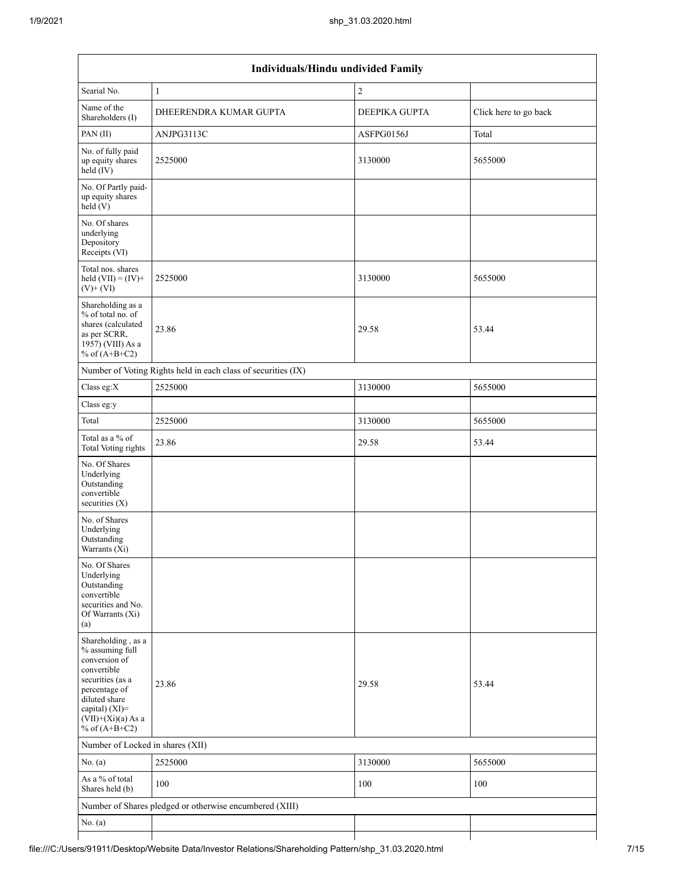| Individuals/Hindu undivided Family                                                                                                                                                       |                                                               |               |                       |  |  |  |  |  |
|------------------------------------------------------------------------------------------------------------------------------------------------------------------------------------------|---------------------------------------------------------------|---------------|-----------------------|--|--|--|--|--|
| Searial No.                                                                                                                                                                              | $\mathbf{1}$                                                  | $\sqrt{2}$    |                       |  |  |  |  |  |
| Name of the<br>Shareholders (I)                                                                                                                                                          | DHEERENDRA KUMAR GUPTA                                        | DEEPIKA GUPTA | Click here to go back |  |  |  |  |  |
| PAN(II)                                                                                                                                                                                  | ANJPG3113C                                                    | ASFPG0156J    | Total                 |  |  |  |  |  |
| No. of fully paid<br>up equity shares<br>$held$ (IV)                                                                                                                                     | 2525000                                                       | 3130000       | 5655000               |  |  |  |  |  |
| No. Of Partly paid-<br>up equity shares<br>held(V)                                                                                                                                       |                                                               |               |                       |  |  |  |  |  |
| No. Of shares<br>underlying<br>Depository<br>Receipts (VI)                                                                                                                               |                                                               |               |                       |  |  |  |  |  |
| Total nos. shares<br>held $(VII) = (IV) +$<br>$(V)$ + $(VI)$                                                                                                                             | 2525000                                                       | 3130000       | 5655000               |  |  |  |  |  |
| Shareholding as a<br>% of total no. of<br>shares (calculated<br>as per SCRR,<br>1957) (VIII) As a<br>% of $(A+B+C2)$                                                                     | 23.86                                                         | 29.58         | 53.44                 |  |  |  |  |  |
|                                                                                                                                                                                          | Number of Voting Rights held in each class of securities (IX) |               |                       |  |  |  |  |  |
| Class eg:X                                                                                                                                                                               | 2525000                                                       | 3130000       | 5655000               |  |  |  |  |  |
| Class eg:y                                                                                                                                                                               |                                                               |               |                       |  |  |  |  |  |
| Total                                                                                                                                                                                    | 2525000                                                       | 3130000       | 5655000               |  |  |  |  |  |
| Total as a % of<br>Total Voting rights                                                                                                                                                   | 23.86                                                         | 29.58         | 53.44                 |  |  |  |  |  |
| No. Of Shares<br>Underlying<br>Outstanding<br>convertible<br>securities $(X)$                                                                                                            |                                                               |               |                       |  |  |  |  |  |
| No. of Shares<br>Underlying<br>Outstanding<br>Warrants $(X_i)$                                                                                                                           |                                                               |               |                       |  |  |  |  |  |
| No. Of Shares<br>Underlying<br>Outstanding<br>convertible<br>securities and No.<br>Of Warrants (Xi)<br>(a)                                                                               |                                                               |               |                       |  |  |  |  |  |
| Shareholding, as a<br>% assuming full<br>conversion of<br>convertible<br>securities (as a<br>percentage of<br>diluted share<br>capital) (XI)=<br>$(VII)+(Xi)(a)$ As a<br>% of $(A+B+C2)$ | 23.86                                                         | 29.58         | 53.44                 |  |  |  |  |  |
| Number of Locked in shares (XII)                                                                                                                                                         |                                                               |               |                       |  |  |  |  |  |
| No. $(a)$                                                                                                                                                                                | 2525000                                                       | 3130000       | 5655000               |  |  |  |  |  |
| As a % of total<br>Shares held (b)                                                                                                                                                       | 100                                                           | 100           | 100                   |  |  |  |  |  |
|                                                                                                                                                                                          | Number of Shares pledged or otherwise encumbered (XIII)       |               |                       |  |  |  |  |  |
| No. $(a)$                                                                                                                                                                                |                                                               |               |                       |  |  |  |  |  |
|                                                                                                                                                                                          |                                                               |               |                       |  |  |  |  |  |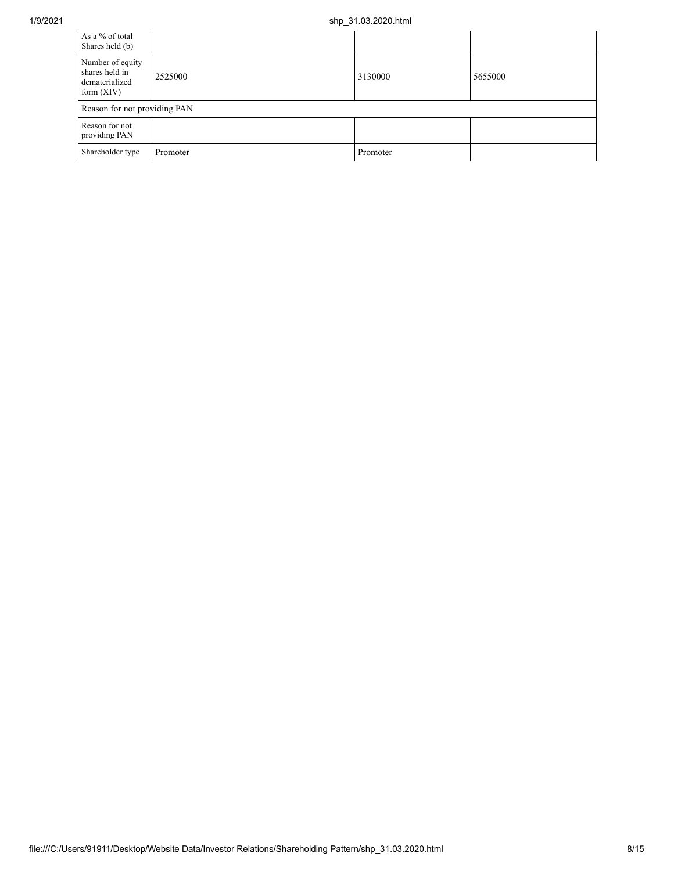## 1/9/2021 shp\_31.03.2020.html

| As a % of total<br>Shares held (b)                                   |          |          |         |
|----------------------------------------------------------------------|----------|----------|---------|
| Number of equity<br>shares held in<br>dematerialized<br>form $(XIV)$ | 2525000  | 3130000  | 5655000 |
| Reason for not providing PAN                                         |          |          |         |
| Reason for not<br>providing PAN                                      |          |          |         |
| Shareholder type                                                     | Promoter | Promoter |         |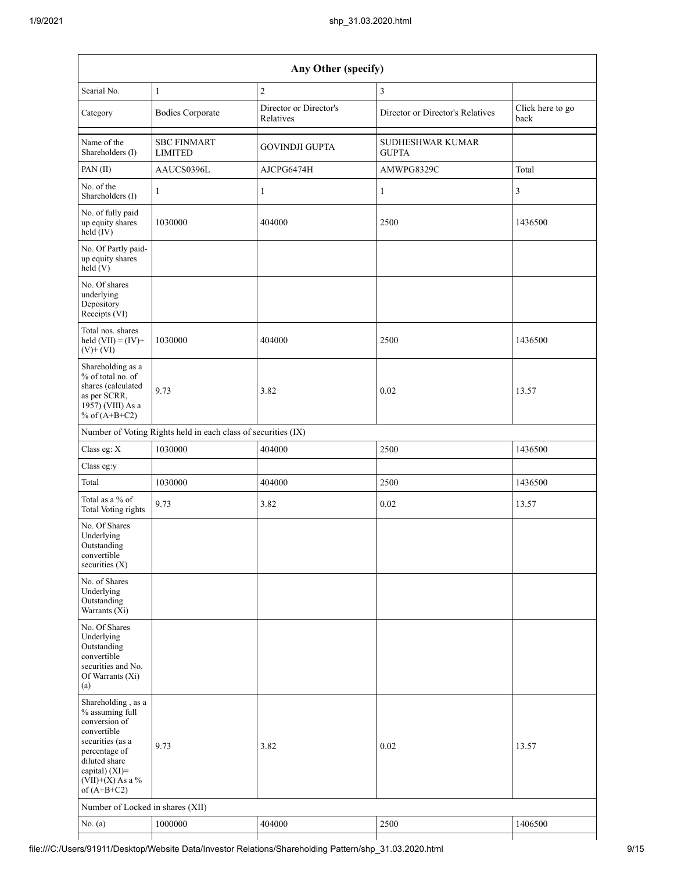| Any Other (specify)                                                                                                                                                                  |                                                               |                                     |                                         |                          |  |  |  |  |
|--------------------------------------------------------------------------------------------------------------------------------------------------------------------------------------|---------------------------------------------------------------|-------------------------------------|-----------------------------------------|--------------------------|--|--|--|--|
| Searial No.                                                                                                                                                                          | $\mathbf{1}$                                                  | $\mathbf{2}$                        | 3                                       |                          |  |  |  |  |
| Category                                                                                                                                                                             | <b>Bodies Corporate</b>                                       | Director or Director's<br>Relatives | Director or Director's Relatives        | Click here to go<br>back |  |  |  |  |
| Name of the<br>Shareholders (I)                                                                                                                                                      | <b>SBC FINMART</b><br><b>LIMITED</b>                          | <b>GOVINDJI GUPTA</b>               | <b>SUDHESHWAR KUMAR</b><br><b>GUPTA</b> |                          |  |  |  |  |
| PAN (II)                                                                                                                                                                             | AAUCS0396L                                                    | AJCPG6474H                          | AMWPG8329C                              | Total                    |  |  |  |  |
| No. of the<br>Shareholders (I)                                                                                                                                                       | $\mathbf{1}$                                                  | $\mathbf{1}$                        | $\mathbf{1}$                            | 3                        |  |  |  |  |
| No. of fully paid<br>up equity shares<br>held (IV)                                                                                                                                   | 1030000                                                       | 404000                              | 2500                                    | 1436500                  |  |  |  |  |
| No. Of Partly paid-<br>up equity shares<br>held (V)                                                                                                                                  |                                                               |                                     |                                         |                          |  |  |  |  |
| No. Of shares<br>underlying<br>Depository<br>Receipts (VI)                                                                                                                           |                                                               |                                     |                                         |                          |  |  |  |  |
| Total nos. shares<br>held $(VII) = (IV) +$<br>$(V)$ + $(VI)$                                                                                                                         | 1030000                                                       | 404000                              | 2500                                    | 1436500                  |  |  |  |  |
| Shareholding as a<br>% of total no. of<br>shares (calculated<br>as per SCRR,<br>1957) (VIII) As a<br>% of $(A+B+C2)$                                                                 | 9.73                                                          | 3.82                                | 0.02                                    | 13.57                    |  |  |  |  |
|                                                                                                                                                                                      | Number of Voting Rights held in each class of securities (IX) |                                     |                                         |                          |  |  |  |  |
| Class eg: X                                                                                                                                                                          | 1030000                                                       | 404000                              | 2500                                    | 1436500                  |  |  |  |  |
| Class eg:y                                                                                                                                                                           |                                                               |                                     |                                         |                          |  |  |  |  |
| Total                                                                                                                                                                                | 1030000                                                       | 404000                              | 2500                                    | 1436500                  |  |  |  |  |
| Total as a % of<br><b>Total Voting rights</b>                                                                                                                                        | 9.73                                                          | 3.82                                | 0.02                                    | 13.57                    |  |  |  |  |
| No. Of Shares<br>Underlying<br>Outstanding<br>convertible<br>securities $(X)$                                                                                                        |                                                               |                                     |                                         |                          |  |  |  |  |
| No. of Shares<br>Underlying<br>Outstanding<br>Warrants (Xi)                                                                                                                          |                                                               |                                     |                                         |                          |  |  |  |  |
| No. Of Shares<br>Underlying<br>Outstanding<br>convertible<br>securities and No.<br>Of Warrants (Xi)<br>(a)                                                                           |                                                               |                                     |                                         |                          |  |  |  |  |
| Shareholding, as a<br>% assuming full<br>conversion of<br>convertible<br>securities (as a<br>percentage of<br>diluted share<br>capital) (XI)=<br>$(VII)+(X)$ As a %<br>of $(A+B+C2)$ | 9.73                                                          | 3.82                                | 0.02                                    | 13.57                    |  |  |  |  |
| Number of Locked in shares (XII)                                                                                                                                                     |                                                               |                                     |                                         |                          |  |  |  |  |
| No. (a)                                                                                                                                                                              | 1000000                                                       | 404000                              | 2500                                    | 1406500                  |  |  |  |  |
|                                                                                                                                                                                      |                                                               |                                     |                                         |                          |  |  |  |  |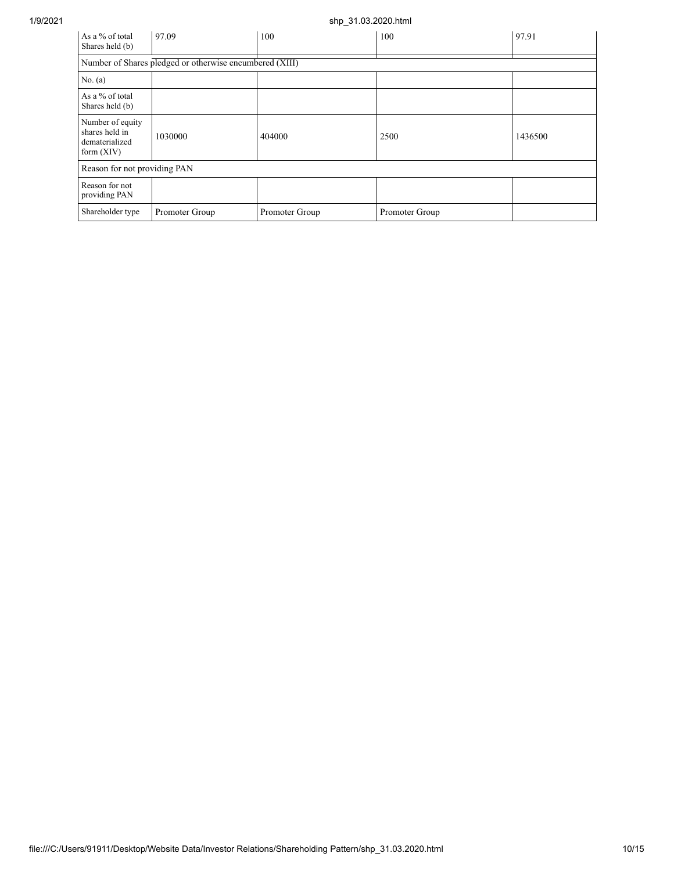## 1/9/2021 shp\_31.03.2020.html

| As a % of total<br>Shares held (b)                                   | 97.09                                                   | 100            | 100            | 97.91   |
|----------------------------------------------------------------------|---------------------------------------------------------|----------------|----------------|---------|
|                                                                      | Number of Shares pledged or otherwise encumbered (XIII) |                |                |         |
| No. (a)                                                              |                                                         |                |                |         |
| As a % of total<br>Shares held (b)                                   |                                                         |                |                |         |
| Number of equity<br>shares held in<br>dematerialized<br>form $(XIV)$ | 1030000                                                 | 404000         | 2500           | 1436500 |
| Reason for not providing PAN                                         |                                                         |                |                |         |
| Reason for not<br>providing PAN                                      |                                                         |                |                |         |
| Shareholder type                                                     | Promoter Group                                          | Promoter Group | Promoter Group |         |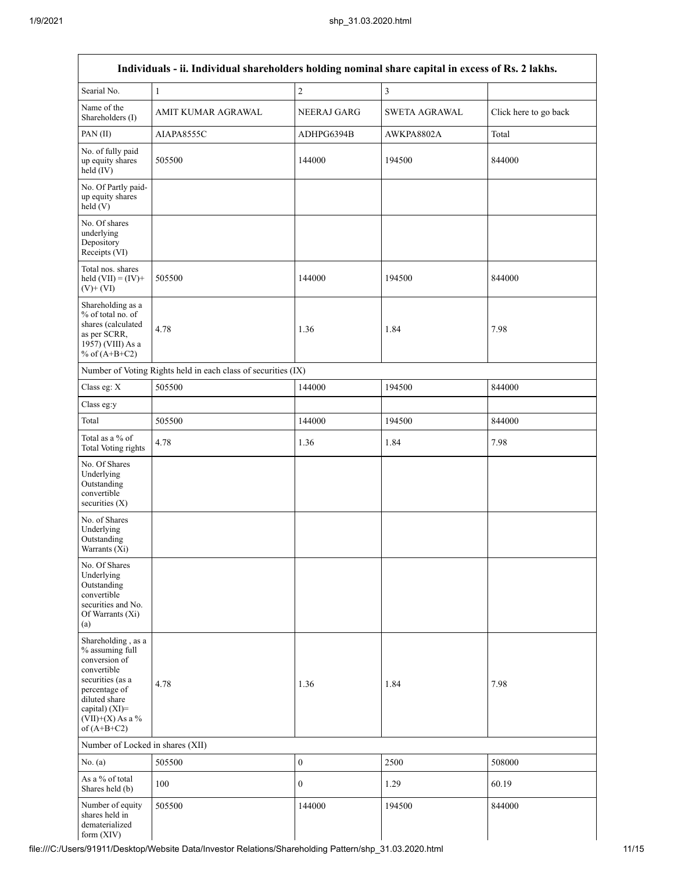$\overline{1}$ 

| Individuals - ii. Individual shareholders holding nominal share capital in excess of Rs. 2 lakhs.                                                                                       |                                                               |                  |                |                       |  |  |  |  |  |
|-----------------------------------------------------------------------------------------------------------------------------------------------------------------------------------------|---------------------------------------------------------------|------------------|----------------|-----------------------|--|--|--|--|--|
| Searial No.                                                                                                                                                                             | $\mathbf{1}$                                                  | $\overline{c}$   | $\mathfrak{Z}$ |                       |  |  |  |  |  |
| Name of the<br>Shareholders (I)                                                                                                                                                         | AMIT KUMAR AGRAWAL                                            | NEERAJ GARG      | SWETA AGRAWAL  | Click here to go back |  |  |  |  |  |
| PAN (II)                                                                                                                                                                                | AIAPA8555C                                                    | ADHPG6394B       | AWKPA8802A     | Total                 |  |  |  |  |  |
| No. of fully paid<br>up equity shares<br>held (IV)                                                                                                                                      | 505500                                                        | 144000           | 194500         | 844000                |  |  |  |  |  |
| No. Of Partly paid-<br>up equity shares<br>held(V)                                                                                                                                      |                                                               |                  |                |                       |  |  |  |  |  |
| No. Of shares<br>underlying<br>Depository<br>Receipts (VI)                                                                                                                              |                                                               |                  |                |                       |  |  |  |  |  |
| Total nos. shares<br>held $(VII) = (IV) +$<br>$(V)$ + $(VI)$                                                                                                                            | 505500                                                        | 144000           | 194500         | 844000                |  |  |  |  |  |
| Shareholding as a<br>% of total no. of<br>shares (calculated<br>as per SCRR,<br>1957) (VIII) As a<br>% of $(A+B+C2)$                                                                    | 4.78                                                          | 1.36             | 1.84           | 7.98                  |  |  |  |  |  |
|                                                                                                                                                                                         | Number of Voting Rights held in each class of securities (IX) |                  |                |                       |  |  |  |  |  |
| Class eg: X                                                                                                                                                                             | 505500                                                        | 144000           | 194500         | 844000                |  |  |  |  |  |
| Class eg:y                                                                                                                                                                              |                                                               |                  |                |                       |  |  |  |  |  |
| Total                                                                                                                                                                                   | 505500                                                        | 144000           | 194500         | 844000                |  |  |  |  |  |
| Total as a % of<br><b>Total Voting rights</b>                                                                                                                                           | 4.78                                                          | 1.36             | 1.84           | 7.98                  |  |  |  |  |  |
| No. Of Shares<br>Underlying<br>Outstanding<br>convertible<br>securities (X)                                                                                                             |                                                               |                  |                |                       |  |  |  |  |  |
| No. of Shares<br>Underlying<br>Outstanding<br>Warrants (Xi)                                                                                                                             |                                                               |                  |                |                       |  |  |  |  |  |
| No. Of Shares<br>Underlying<br>Outstanding<br>convertible<br>securities and No.<br>Of Warrants (Xi)<br>(a)                                                                              |                                                               |                  |                |                       |  |  |  |  |  |
| Shareholding, as a<br>% assuming full<br>conversion of<br>convertible<br>securities (as a<br>percentage of<br>diluted share<br>capital) $(XI)$ =<br>$(VII)+(X)$ As a %<br>of $(A+B+C2)$ | 4.78                                                          | 1.36             | 1.84           | 7.98                  |  |  |  |  |  |
| Number of Locked in shares (XII)                                                                                                                                                        |                                                               |                  |                |                       |  |  |  |  |  |
| No. $(a)$                                                                                                                                                                               | 505500                                                        | $\boldsymbol{0}$ | 2500           | 508000                |  |  |  |  |  |
| As a % of total<br>Shares held (b)                                                                                                                                                      | 100                                                           | $\boldsymbol{0}$ | 1.29           | 60.19                 |  |  |  |  |  |
| Number of equity<br>shares held in<br>dematerialized<br>form (XIV)                                                                                                                      | 505500                                                        | 144000           | 194500         | 844000                |  |  |  |  |  |

٦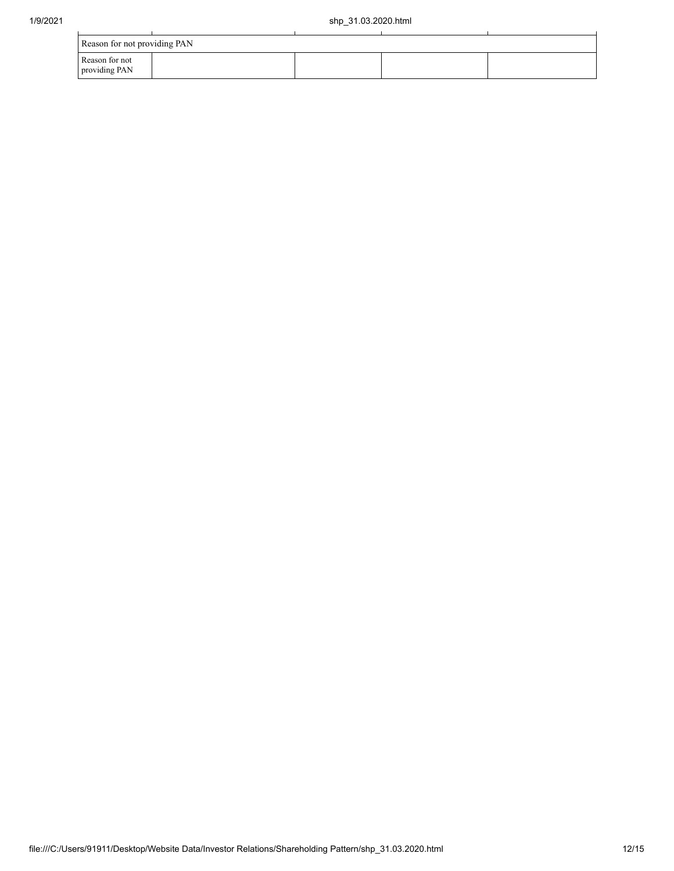| Reason for not providing PAN    |  |  |  |  |  |  |  |
|---------------------------------|--|--|--|--|--|--|--|
| Reason for not<br>providing PAN |  |  |  |  |  |  |  |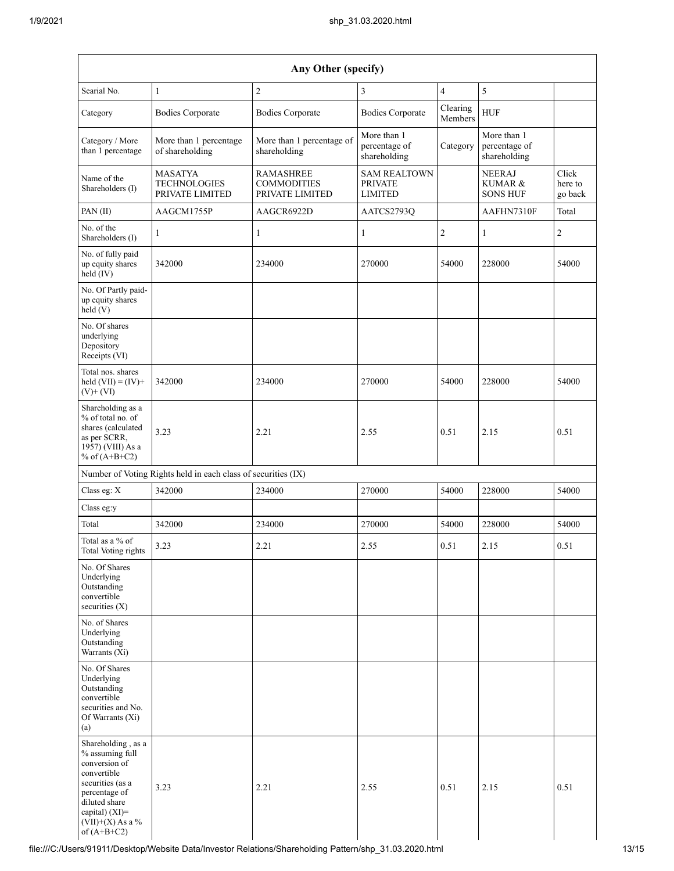| Any Other (specify)                                                                                                                                                                          |                                                               |                                                           |                                                         |                     |                                              |                             |  |  |  |  |
|----------------------------------------------------------------------------------------------------------------------------------------------------------------------------------------------|---------------------------------------------------------------|-----------------------------------------------------------|---------------------------------------------------------|---------------------|----------------------------------------------|-----------------------------|--|--|--|--|
| Searial No.                                                                                                                                                                                  | $\mathbf{1}$                                                  | $\overline{c}$                                            | 3                                                       | $\overline{4}$      | 5                                            |                             |  |  |  |  |
| Category                                                                                                                                                                                     | <b>Bodies Corporate</b>                                       | <b>Bodies Corporate</b>                                   | <b>Bodies Corporate</b>                                 | Clearing<br>Members | <b>HUF</b>                                   |                             |  |  |  |  |
| Category / More<br>than 1 percentage                                                                                                                                                         | More than 1 percentage<br>of shareholding                     | More than 1 percentage of<br>shareholding                 | More than 1<br>percentage of<br>shareholding            | Category            | More than 1<br>percentage of<br>shareholding |                             |  |  |  |  |
| Name of the<br>Shareholders (I)                                                                                                                                                              | <b>MASATYA</b><br><b>TECHNOLOGIES</b><br>PRIVATE LIMITED      | <b>RAMASHREE</b><br><b>COMMODITIES</b><br>PRIVATE LIMITED | <b>SAM REALTOWN</b><br><b>PRIVATE</b><br><b>LIMITED</b> |                     | <b>NEERAJ</b><br>KUMAR &<br><b>SONS HUF</b>  | Click<br>here to<br>go back |  |  |  |  |
| PAN (II)                                                                                                                                                                                     | AAGCM1755P                                                    | AAGCR6922D                                                | AATCS2793Q                                              |                     | AAFHN7310F                                   | Total                       |  |  |  |  |
| No. of the<br>Shareholders (I)                                                                                                                                                               | 1                                                             | 1                                                         | $\mathbf{1}$                                            | $\overline{2}$      | 1                                            | 2                           |  |  |  |  |
| No. of fully paid<br>up equity shares<br>$held$ (IV)                                                                                                                                         | 342000                                                        | 234000                                                    | 270000                                                  | 54000               | 228000                                       | 54000                       |  |  |  |  |
| No. Of Partly paid-<br>up equity shares<br>held (V)                                                                                                                                          |                                                               |                                                           |                                                         |                     |                                              |                             |  |  |  |  |
| No. Of shares<br>underlying<br>Depository<br>Receipts (VI)                                                                                                                                   |                                                               |                                                           |                                                         |                     |                                              |                             |  |  |  |  |
| Total nos. shares<br>held $(VII) = (IV) +$<br>$(V)$ + $(VI)$                                                                                                                                 | 342000                                                        | 234000                                                    | 270000                                                  | 54000               | 228000                                       | 54000                       |  |  |  |  |
| Shareholding as a<br>% of total no. of<br>shares (calculated<br>3.23<br>as per SCRR,<br>1957) (VIII) As a<br>% of $(A+B+C2)$                                                                 |                                                               | 2.21                                                      | 2.55                                                    | 0.51                | 2.15                                         | 0.51                        |  |  |  |  |
|                                                                                                                                                                                              | Number of Voting Rights held in each class of securities (IX) |                                                           |                                                         |                     |                                              |                             |  |  |  |  |
| Class eg: X                                                                                                                                                                                  | 342000                                                        | 234000<br>270000                                          |                                                         | 54000               | 228000                                       | 54000                       |  |  |  |  |
| Class eg:y                                                                                                                                                                                   |                                                               |                                                           |                                                         |                     |                                              |                             |  |  |  |  |
| Total                                                                                                                                                                                        | 342000                                                        | 234000                                                    | 270000                                                  | 54000               | 228000                                       | 54000                       |  |  |  |  |
| Total as a % of<br>Total Voting rights                                                                                                                                                       | 3.23                                                          | 2.21                                                      | 2.55                                                    | 0.51                | 2.15                                         | 0.51                        |  |  |  |  |
| No. Of Shares<br>Underlying<br>Outstanding<br>convertible<br>securities $(X)$                                                                                                                |                                                               |                                                           |                                                         |                     |                                              |                             |  |  |  |  |
| No. of Shares<br>Underlying<br>Outstanding<br>Warrants (Xi)                                                                                                                                  |                                                               |                                                           |                                                         |                     |                                              |                             |  |  |  |  |
| No. Of Shares<br>Underlying<br>Outstanding<br>convertible<br>securities and No.<br>Of Warrants (Xi)<br>(a)                                                                                   |                                                               |                                                           |                                                         |                     |                                              |                             |  |  |  |  |
| Shareholding, as a<br>% assuming full<br>conversion of<br>convertible<br>securities (as a<br>3.23<br>percentage of<br>diluted share<br>capital) (XI)=<br>$(VII)+(X)$ As a %<br>of $(A+B+C2)$ |                                                               | 2.21                                                      | 2.55                                                    | 0.51                | 2.15                                         | 0.51                        |  |  |  |  |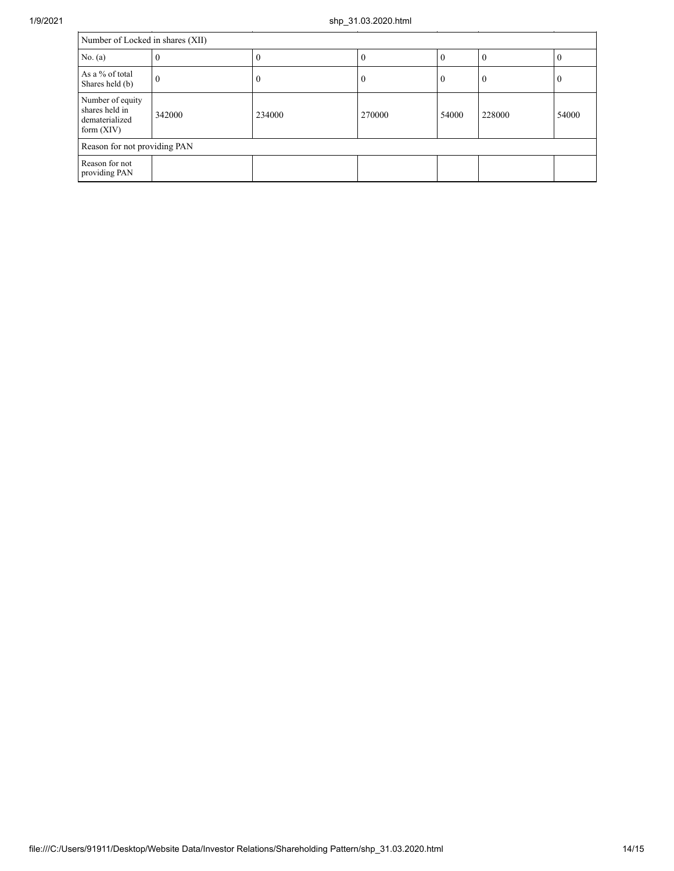l.

| Number of Locked in shares (XII)                                               |   |          |        |          |          |       |  |  |  |  |
|--------------------------------------------------------------------------------|---|----------|--------|----------|----------|-------|--|--|--|--|
| No. (a)                                                                        | v | $\theta$ |        | $\theta$ | $\left($ | v     |  |  |  |  |
| As a % of total<br>$\theta$<br>Shares held (b)                                 |   | $\theta$ |        | $\theta$ | $\theta$ | v     |  |  |  |  |
| Number of equity<br>shares held in<br>342000<br>dematerialized<br>form $(XIV)$ |   | 234000   | 270000 | 54000    | 228000   | 54000 |  |  |  |  |
| Reason for not providing PAN                                                   |   |          |        |          |          |       |  |  |  |  |
| Reason for not<br>providing PAN                                                |   |          |        |          |          |       |  |  |  |  |